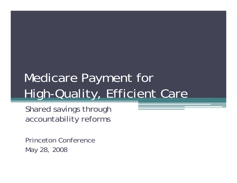# Medicare Payment for High-Quality, Efficient Care

Shared savings through accountability reforms

Princeton ConferenceMay 28, 2008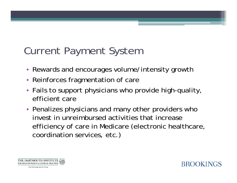# Current Payment System

- Rewards and encourages volume/intensity growth
- Reinforces fragmentation of care
- Fails to support physicians who provide high-quality, efficient care
- Penalizes physicians and many other providers who invest in unreimbursed activities that increase efficiency of care in Medicare (electronic healthcare, coordination services, etc.)



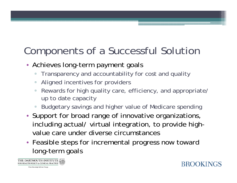# Components of a Successful Solution

- Achieves long-term payment goals
	- ▫Transparency and accountability for cost and quality
	- Aligned incentives for providers
	- $\Box$  Rewards for high quality care, efficiency, and appropriate/ up to date capacity
	- Budgetary savings and higher value of Medicare spending
- Support for broad range of innovative organizations, including actual/ virtual integration, to provide highvalue care under diverse circumstances
- Feasible steps for incremental progress now toward long-term goals

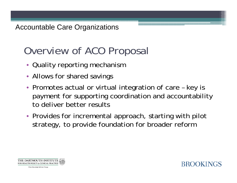# Overview of ACO Proposal

- Quality reporting mechanism
- Allows for shared savings
- Promotes actual or virtual integration of care key is payment for supporting coordination and accountability to deliver better results
- Provides for incremental approach, starting with pilot strategy, to provide foundation for broader reform



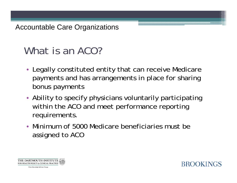# What is an ACO?

- Legally constituted entity that can receive Medicare payments and has arrangements in place for sharing bonus payments
- Ability to specify physicians voluntarily participating within the ACO and meet performance reporting requirements.
- Minimum of 5000 Medicare beneficiaries must be assigned to ACO



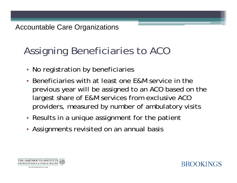# Assigning Beneficiaries to ACO

- No registration by beneficiaries
- • Beneficiaries with at least one E&M service in the previous year will be assigned to an ACO based on the largest share of E&M services from exclusive ACO providers, measured by number of ambulatory visits
- Results in a unique assignment for the patient
- Assignments revisited on an annual basis

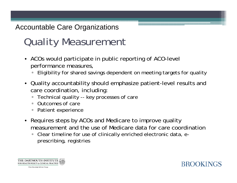# Quality Measurement

- ACOs would participate in public reporting of ACO-level performance measures,
	- $\Box$ Eligibility for shared savings dependent on meeting targets for quality
- Quality accountability should emphasize patient-level results and care coordination, including:
	- $\Box$ Technical quality -- key processes of care
	- Outcomes of care
	- $\Box$ Patient experience
- Requires steps by ACOs and Medicare to improve quality measurement and the use of Medicare data for care coordination
	- $\Box$  Clear timeline for use of clinically enriched electronic data, eprescribing, registries



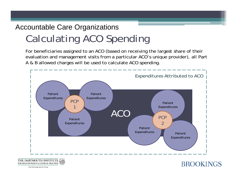## Calculating ACO Spending Accountable Care Organizations

For beneficiaries assigned to an ACO (based on receiving the largest share of their evaluation and management visits from a particular ACO's unique provider), all Part A & B allowed charges will be used to calculate ACO spending.

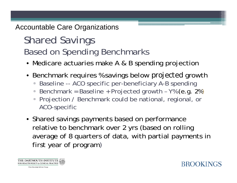# Shared Savings Based on Spending Benchmarks

- Medicare actuaries make A & B spending projection
- Benchmark requires % savings below *projected* growth
	- Baseline -- ACO specific per-beneficiary A-B spending
	- Benchmark = Baseline + Projected growth Y% (e.g. 2%)
	- Projection / Benchmark could be national, regional, or ACO-specific
- Shared savings payments based on performance relative to benchmark over 2 yrs (based on rolling average of 8 quarters of data, with partial payments in first year of program)

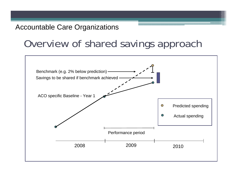## Overview of shared savings approach

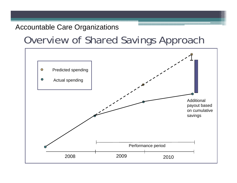## Overview of Shared Savings Approach

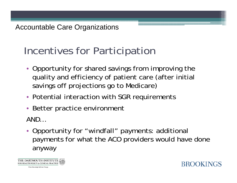# Incentives for Participation

- Opportunity for shared savings from improving the quality and efficiency of patient care (after initial savings off projections go to Medicare)
- Potential interaction with SGR requirements
- Better practice environment

AND…

• Opportunity for "windfall" payments: additional payments for what the ACO providers would have done anyway

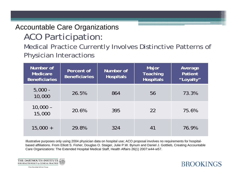## ACO Participation: Accountable Care Organizations

Medical Practice Currently Involves Distinctive Patterns of Physician Interactions

| Number of<br><b>Medicare</b><br><b>Beneficiaries</b> | Percent of<br><b>Beneficiaries</b> | Number of<br><b>Hospitals</b> | Major<br><b>Teaching</b><br><b>Hospitals</b> | Average<br>Patient<br>"Loyalty" |
|------------------------------------------------------|------------------------------------|-------------------------------|----------------------------------------------|---------------------------------|
| $5,000 -$<br>10,000                                  | 26.5%                              | 864                           | 56                                           | 73.3%                           |
| $10,000 -$<br>15,000                                 | 20.6%                              | 395                           | 22                                           | 75.6%                           |
| $15,000 +$                                           | 29.8%                              | 324                           | 41                                           | 76.9%                           |

Illustrative purposes only using 2004 physician data on hospital use; ACO proposal involves no requirements for hospitalbased affiliations. From Elliott S. Fisher, Douglas O. Staiger, Julie P.W. Bynum and Daniel J. Gottlieb, Creating Accountable Care Organizations: The Extended Hospital Medical Staff, Health Affairs 26(1) 2007:w44-w57.

**BROOKINGS** 

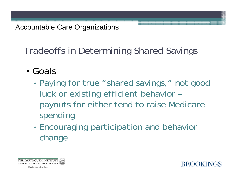Tradeoffs in Determining Shared Savings

- Goals
	- ▫ Paying for true "shared savings," not good luck or existing efficient behavior – payouts for either tend to raise Medicare spending
	- ▫**Encouraging participation and behavior** change

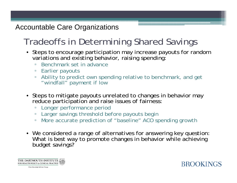## Tradeoffs in Determining Shared Savings

- Steps to encourage participation may increase payouts for random variations and existing behavior, raising spending:
	- $\Box$ Benchmark set in advance
	- Earlier payouts
	- Ability to predict own spending relative to benchmark, and get "windfall" payment if low
- Steps to mitigate payouts unrelated to changes in behavior may reduce participation and raise issues of fairness:
	- ▫Longer performance period
	- Larger savings threshold before payouts begin
	- More accurate prediction of "baseline" ACO spending growth
- We considered a range of alternatives for answering key question: What is best way to promote changes in behavior while achieving budget savings?



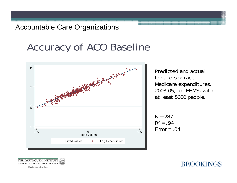# Accuracy of ACO Baseline



Predicted and actual log age-sex-race Medicare expenditures, 2003-05, for EHMSs with at least 5000 people.

**BROOKINGS** 

 $N = 287$  $R^2 = .94$  $Error = .04$ 

THE DARTMOUTH INSTITU' FOR HEALTH POLICY & CLINICAL PRACTICE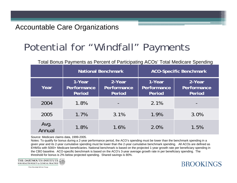# Potential for "Windfall" Payments

|                | Total Bonus Payments as Percent of Participating ACOS Total Medicare Spending |                                 |                                 |                                 |
|----------------|-------------------------------------------------------------------------------|---------------------------------|---------------------------------|---------------------------------|
|                | <b>National Benchmark</b>                                                     |                                 | <b>ACO-Specific Benchmark</b>   |                                 |
| Year           | 1-Year<br>Performance<br>Period                                               | 2-Year<br>Performance<br>Period | 1-Year<br>Performance<br>Period | 2-Year<br>Performance<br>Period |
| 2004           | 1.8%                                                                          |                                 | 2.1%                            |                                 |
| 2005           | 1.7%                                                                          | 3.1%                            | 1.9%                            | 3.0%                            |
| Avg.<br>Annual | 1.8%                                                                          | 1.6%                            | 2.0%                            | 1.5%                            |

 $\text{Cov}_1$  of Dontial as  $\text{Cov}_2$  Tatal Medicare Spending ACOs

**BROOKINGS** 

Source: Medicare claims data, 1999-2005.

Notes: To qualify for bonus during a 2-year performance period, the ACO's spending must be lower than the benchmark spending in a given year and its 2-year cumulative spending must be lower than the 2-year cumulative benchmark spending. All ACOs are defined as EHMSs with 5000+ Medicare beneficiaries. National benchmark is based on the projected 1-year growth rate per beneficiary spending in the CBO baseline. ACO-specific benchmark is based on the ACO's 3-year average growth rate in per beneficiary spending. The threshold for bonus is 2% below projected spending. Shared savings is 80%.

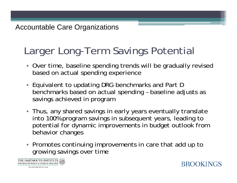# Larger Long-Term Savings Potential

- Over time, baseline spending trends will be gradually revised based on actual spending experience
- Equivalent to updating DRG benchmarks and Part D benchmarks based on actual spending – baseline adjusts as savings achieved in program
- Thus, any shared savings in early years eventually translate into 100% program savings in subsequent years, leading to potential for dynamic improvements in budget outlook from behavior changes
- Promotes continuing improvements in care that add up to growing savings over time



**BROOKINGS**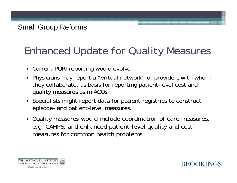# Enhanced Update for Quality Measures

- Current PQRI reporting would evolve
- Physicians may report a "virtual network" of providers with whom they collaborate, as basis for reporting patient-level cost and quality measures as in ACOs
- Specialists might report data for patient registries to construct episode- and patient-level measures.
- Quality measures would include coordination of care measures, e.g. CAHPS, and enhanced patient-level quality and cost measures for common health problems



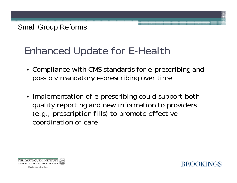# Enhanced Update for E-Health

- Compliance with CMS standards for e-prescribing and possibly mandatory e-prescribing over time
- Implementation of e-prescribing could support both quality reporting and new information to providers (e.g., prescription fills) to promote effective coordination of care



**BROOKINGS**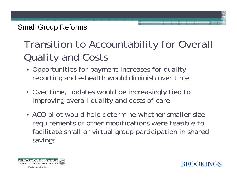## Small Group Reforms

# Transition to Accountability for Overall Quality and Costs

- Opportunities for payment increases for quality reporting and e-health would diminish over time
- Over time, updates would be increasingly tied to improving overall quality and costs of care
- ACO pilot would help determine whether smaller size requirements or other modifications were feasible to facilitate small or virtual group participation in shared savings

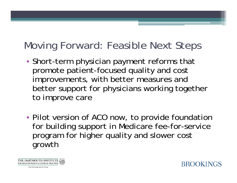# Moving Forward: Feasible Next Steps

- • Short-term physician payment reforms that promote patient-focused quality and cost improvements, with better measures and better support for physicians working together to improve care
- • Pilot version of ACO now, to provide foundation for building support in Medicare fee-for-service program for higher quality and slower cost growth